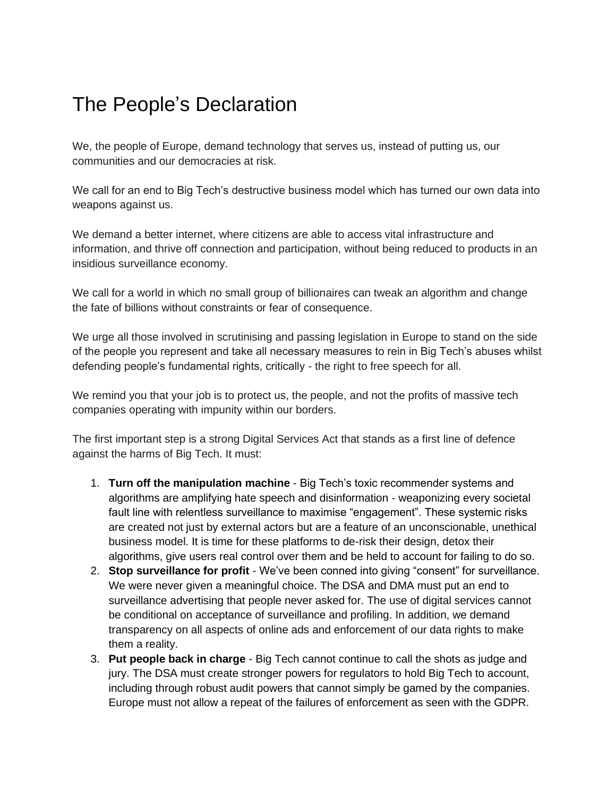## The People's Declaration

We, the people of Europe, demand technology that serves us, instead of putting us, our communities and our democracies at risk.

We call for an end to Big Tech's destructive business model which has turned our own data into weapons against us.

We demand a better internet, where citizens are able to access vital infrastructure and information, and thrive off connection and participation, without being reduced to products in an insidious surveillance economy.

We call for a world in which no small group of billionaires can tweak an algorithm and change the fate of billions without constraints or fear of consequence.

We urge all those involved in scrutinising and passing legislation in Europe to stand on the side of the people you represent and take all necessary measures to rein in Big Tech's abuses whilst defending people's fundamental rights, critically - the right to free speech for all.

We remind you that your job is to protect us, the people, and not the profits of massive tech companies operating with impunity within our borders.

The first important step is a strong Digital Services Act that stands as a first line of defence against the harms of Big Tech. It must:

- 1. **Turn off the manipulation machine** Big Tech's toxic recommender systems and algorithms are amplifying hate speech and disinformation - weaponizing every societal fault line with relentless surveillance to maximise "engagement". These systemic risks are created not just by external actors but are a feature of an unconscionable, unethical business model. It is time for these platforms to de-risk their design, detox their algorithms, give users real control over them and be held to account for failing to do so.
- 2. **Stop surveillance for profit** We've been conned into giving "consent" for surveillance. We were never given a meaningful choice. The DSA and DMA must put an end to surveillance advertising that people never asked for. The use of digital services cannot be conditional on acceptance of surveillance and profiling. In addition, we demand transparency on all aspects of online ads and enforcement of our data rights to make them a reality.
- 3. **Put people back in charge** Big Tech cannot continue to call the shots as judge and jury. The DSA must create stronger powers for regulators to hold Big Tech to account, including through robust audit powers that cannot simply be gamed by the companies. Europe must not allow a repeat of the failures of enforcement as seen with the GDPR.